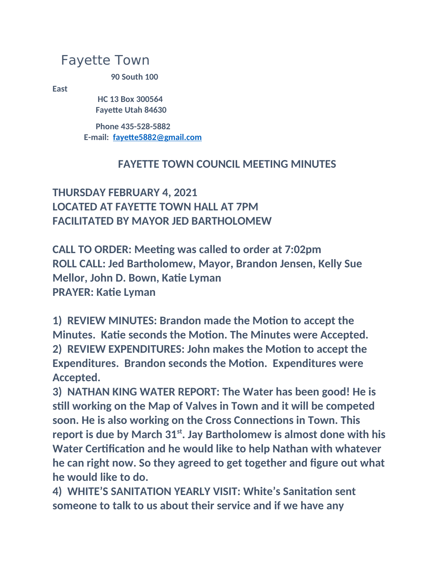## Fayette Town

**90 South 100** 

**East**

 **HC 13 Box 300564 Fayette Utah 84630**

 **Phone 435-528-5882 E-mail: [fayette5882@gmail.com](mailto:fayette5882@gmail.com)**

## **FAYETTE TOWN COUNCIL MEETING MINUTES**

## **THURSDAY FEBRUARY 4, 2021 LOCATED AT FAYETTE TOWN HALL AT 7PM FACILITATED BY MAYOR JED BARTHOLOMEW**

**CALL TO ORDER: Meeting was called to order at 7:02pm ROLL CALL: Jed Bartholomew, Mayor, Brandon Jensen, Kelly Sue Mellor, John D. Bown, Katie Lyman PRAYER: Katie Lyman**

**1) REVIEW MINUTES: Brandon made the Motion to accept the Minutes. Katie seconds the Motion. The Minutes were Accepted. 2) REVIEW EXPENDITURES: John makes the Motion to accept the Expenditures. Brandon seconds the Motion. Expenditures were Accepted.**

**3) NATHAN KING WATER REPORT: The Water has been good! He is still working on the Map of Valves in Town and it will be competed soon. He is also working on the Cross Connections in Town. This report is due by March 31st. Jay Bartholomew is almost done with his Water Certification and he would like to help Nathan with whatever he can right now. So they agreed to get together and figure out what he would like to do.**

**4) WHITE'S SANITATION YEARLY VISIT: White's Sanitation sent someone to talk to us about their service and if we have any**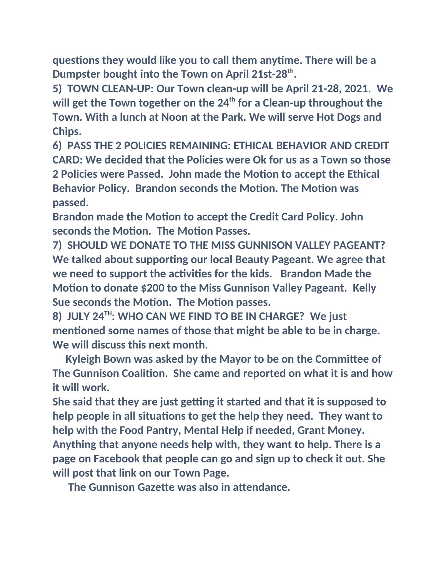**questions they would like you to call them anytime. There will be a Dumpster bought into the Town on April 21st-28th .**

**5) TOWN CLEAN-UP: Our Town clean-up will be April 21-28, 2021. We will get the Town together on the 24th for a Clean-up throughout the Town. With a lunch at Noon at the Park. We will serve Hot Dogs and Chips.**

**6) PASS THE 2 POLICIES REMAINING: ETHICAL BEHAVIOR AND CREDIT CARD: We decided that the Policies were Ok for us as a Town so those 2 Policies were Passed. John made the Motion to accept the Ethical Behavior Policy. Brandon seconds the Motion. The Motion was passed.**

**Brandon made the Motion to accept the Credit Card Policy. John seconds the Motion. The Motion Passes.**

**7) SHOULD WE DONATE TO THE MISS GUNNISON VALLEY PAGEANT? We talked about supporting our local Beauty Pageant. We agree that we need to support the activities for the kids. Brandon Made the Motion to donate \$200 to the Miss Gunnison Valley Pageant. Kelly Sue seconds the Motion. The Motion passes.**

**8) JULY 24TH: WHO CAN WE FIND TO BE IN CHARGE? We just mentioned some names of those that might be able to be in charge. We will discuss this next month.**

 **Kyleigh Bown was asked by the Mayor to be on the Committee of The Gunnison Coalition. She came and reported on what it is and how it will work.**

**She said that they are just getting it started and that it is supposed to help people in all situations to get the help they need. They want to help with the Food Pantry, Mental Help if needed, Grant Money. Anything that anyone needs help with, they want to help. There is a page on Facebook that people can go and sign up to check it out. She will post that link on our Town Page.**

 **The Gunnison Gazette was also in attendance.**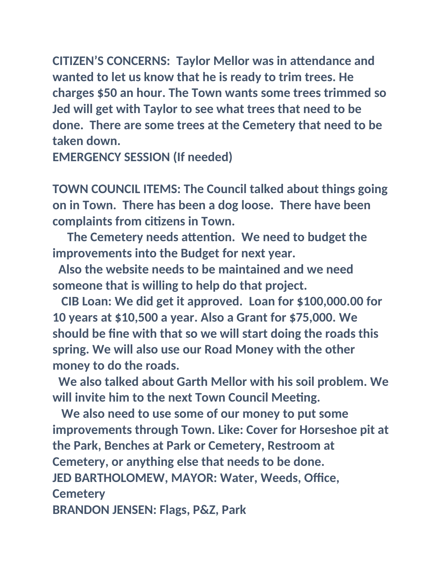**CITIZEN'S CONCERNS: Taylor Mellor was in attendance and wanted to let us know that he is ready to trim trees. He charges \$50 an hour. The Town wants some trees trimmed so Jed will get with Taylor to see what trees that need to be done. There are some trees at the Cemetery that need to be taken down.**

**EMERGENCY SESSION (If needed)**

**TOWN COUNCIL ITEMS: The Council talked about things going on in Town. There has been a dog loose. There have been complaints from citizens in Town.**

 **The Cemetery needs attention. We need to budget the improvements into the Budget for next year.**

 **Also the website needs to be maintained and we need someone that is willing to help do that project.**

 **CIB Loan: We did get it approved. Loan for \$100,000.00 for 10 years at \$10,500 a year. Also a Grant for \$75,000. We should be fine with that so we will start doing the roads this spring. We will also use our Road Money with the other money to do the roads.**

 **We also talked about Garth Mellor with his soil problem. We will invite him to the next Town Council Meeting.**

 **We also need to use some of our money to put some improvements through Town. Like: Cover for Horseshoe pit at the Park, Benches at Park or Cemetery, Restroom at Cemetery, or anything else that needs to be done. JED BARTHOLOMEW, MAYOR: Water, Weeds, Office, Cemetery BRANDON JENSEN: Flags, P&Z, Park**